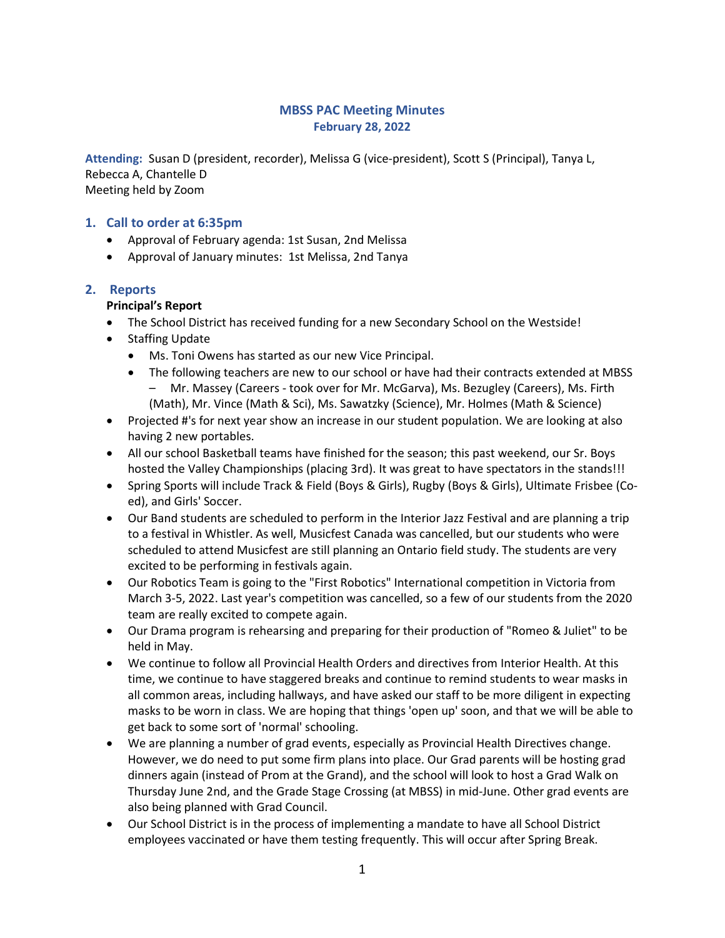## MBSS PAC Meeting Minutes February 28, 2022

Attending: Susan D (president, recorder), Melissa G (vice-president), Scott S (Principal), Tanya L, Rebecca A, Chantelle D Meeting held by Zoom

## 1. Call to order at 6:35pm

- Approval of February agenda: 1st Susan, 2nd Melissa
- Approval of January minutes: 1st Melissa, 2nd Tanya

#### 2. Reports

#### Principal's Report

- The School District has received funding for a new Secondary School on the Westside!
- Staffing Update
	- Ms. Toni Owens has started as our new Vice Principal.
	- The following teachers are new to our school or have had their contracts extended at MBSS – Mr. Massey (Careers - took over for Mr. McGarva), Ms. Bezugley (Careers), Ms. Firth (Math), Mr. Vince (Math & Sci), Ms. Sawatzky (Science), Mr. Holmes (Math & Science)
- Projected #'s for next year show an increase in our student population. We are looking at also having 2 new portables.
- All our school Basketball teams have finished for the season; this past weekend, our Sr. Boys hosted the Valley Championships (placing 3rd). It was great to have spectators in the stands!!!
- Spring Sports will include Track & Field (Boys & Girls), Rugby (Boys & Girls), Ultimate Frisbee (Coed), and Girls' Soccer.
- Our Band students are scheduled to perform in the Interior Jazz Festival and are planning a trip to a festival in Whistler. As well, Musicfest Canada was cancelled, but our students who were scheduled to attend Musicfest are still planning an Ontario field study. The students are very excited to be performing in festivals again.
- Our Robotics Team is going to the "First Robotics" International competition in Victoria from March 3-5, 2022. Last year's competition was cancelled, so a few of our students from the 2020 team are really excited to compete again.
- Our Drama program is rehearsing and preparing for their production of "Romeo & Juliet" to be held in May.
- We continue to follow all Provincial Health Orders and directives from Interior Health. At this time, we continue to have staggered breaks and continue to remind students to wear masks in all common areas, including hallways, and have asked our staff to be more diligent in expecting masks to be worn in class. We are hoping that things 'open up' soon, and that we will be able to get back to some sort of 'normal' schooling.
- We are planning a number of grad events, especially as Provincial Health Directives change. However, we do need to put some firm plans into place. Our Grad parents will be hosting grad dinners again (instead of Prom at the Grand), and the school will look to host a Grad Walk on Thursday June 2nd, and the Grade Stage Crossing (at MBSS) in mid-June. Other grad events are also being planned with Grad Council.
- Our School District is in the process of implementing a mandate to have all School District employees vaccinated or have them testing frequently. This will occur after Spring Break.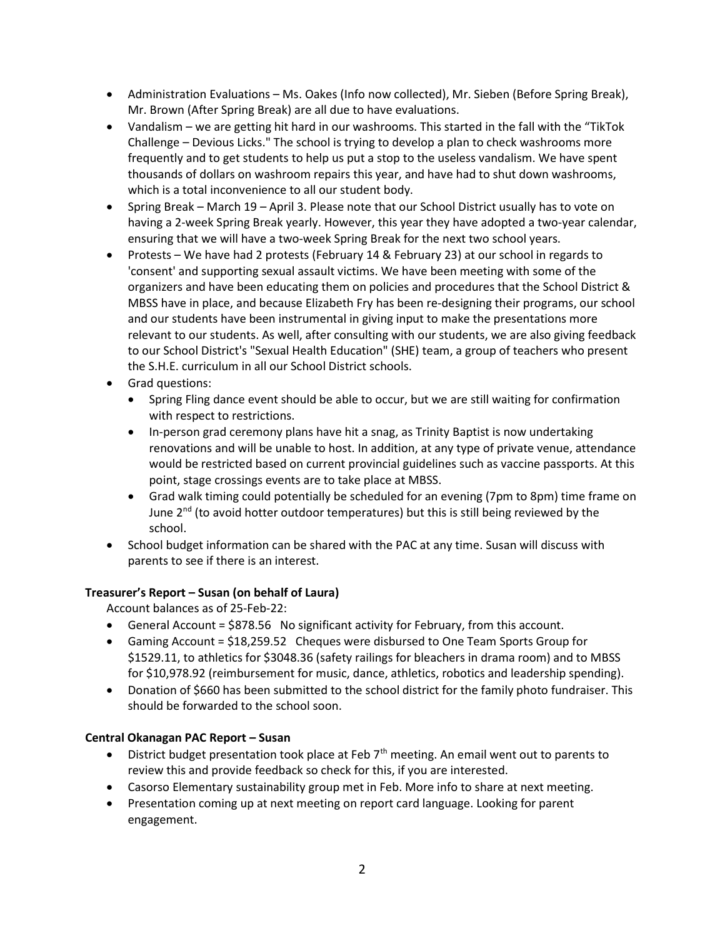- Administration Evaluations Ms. Oakes (Info now collected), Mr. Sieben (Before Spring Break), Mr. Brown (After Spring Break) are all due to have evaluations.
- Vandalism we are getting hit hard in our washrooms. This started in the fall with the "TikTok Challenge – Devious Licks." The school is trying to develop a plan to check washrooms more frequently and to get students to help us put a stop to the useless vandalism. We have spent thousands of dollars on washroom repairs this year, and have had to shut down washrooms, which is a total inconvenience to all our student body.
- Spring Break March 19 April 3. Please note that our School District usually has to vote on having a 2-week Spring Break yearly. However, this year they have adopted a two-year calendar, ensuring that we will have a two-week Spring Break for the next two school years.
- Protests We have had 2 protests (February 14 & February 23) at our school in regards to 'consent' and supporting sexual assault victims. We have been meeting with some of the organizers and have been educating them on policies and procedures that the School District & MBSS have in place, and because Elizabeth Fry has been re-designing their programs, our school and our students have been instrumental in giving input to make the presentations more relevant to our students. As well, after consulting with our students, we are also giving feedback to our School District's "Sexual Health Education" (SHE) team, a group of teachers who present the S.H.E. curriculum in all our School District schools.
- Grad questions:
	- Spring Fling dance event should be able to occur, but we are still waiting for confirmation with respect to restrictions.
	- In-person grad ceremony plans have hit a snag, as Trinity Baptist is now undertaking renovations and will be unable to host. In addition, at any type of private venue, attendance would be restricted based on current provincial guidelines such as vaccine passports. At this point, stage crossings events are to take place at MBSS.
	- Grad walk timing could potentially be scheduled for an evening (7pm to 8pm) time frame on June  $2<sup>nd</sup>$  (to avoid hotter outdoor temperatures) but this is still being reviewed by the school.
- School budget information can be shared with the PAC at any time. Susan will discuss with parents to see if there is an interest.

## Treasurer's Report – Susan (on behalf of Laura)

Account balances as of 25-Feb-22:

- General Account = \$878.56 No significant activity for February, from this account.
- Gaming Account = \$18,259.52 Cheques were disbursed to One Team Sports Group for \$1529.11, to athletics for \$3048.36 (safety railings for bleachers in drama room) and to MBSS for \$10,978.92 (reimbursement for music, dance, athletics, robotics and leadership spending).
- Donation of \$660 has been submitted to the school district for the family photo fundraiser. This should be forwarded to the school soon.

## Central Okanagan PAC Report – Susan

- $\bullet$  District budget presentation took place at Feb 7<sup>th</sup> meeting. An email went out to parents to review this and provide feedback so check for this, if you are interested.
- Casorso Elementary sustainability group met in Feb. More info to share at next meeting.
- Presentation coming up at next meeting on report card language. Looking for parent engagement.